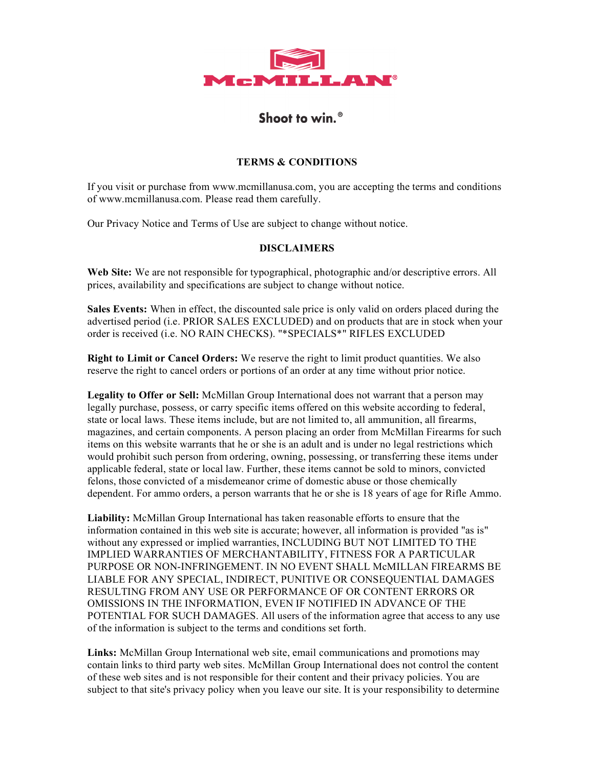

## Shoot to win.<sup>®</sup>

## **TERMS & CONDITIONS**

If you visit or purchase from www.mcmillanusa.com, you are accepting the terms and conditions of www.mcmillanusa.com. Please read them carefully.

Our Privacy Notice and Terms of Use are subject to change without notice.

## **DISCLAIMERS**

**Web Site:** We are not responsible for typographical, photographic and/or descriptive errors. All prices, availability and specifications are subject to change without notice.

**Sales Events:** When in effect, the discounted sale price is only valid on orders placed during the advertised period (i.e. PRIOR SALES EXCLUDED) and on products that are in stock when your order is received (i.e. NO RAIN CHECKS). "\*SPECIALS\*" RIFLES EXCLUDED

**Right to Limit or Cancel Orders:** We reserve the right to limit product quantities. We also reserve the right to cancel orders or portions of an order at any time without prior notice.

**Legality to Offer or Sell:** McMillan Group International does not warrant that a person may legally purchase, possess, or carry specific items offered on this website according to federal, state or local laws. These items include, but are not limited to, all ammunition, all firearms, magazines, and certain components. A person placing an order from McMillan Firearms for such items on this website warrants that he or she is an adult and is under no legal restrictions which would prohibit such person from ordering, owning, possessing, or transferring these items under applicable federal, state or local law. Further, these items cannot be sold to minors, convicted felons, those convicted of a misdemeanor crime of domestic abuse or those chemically dependent. For ammo orders, a person warrants that he or she is 18 years of age for Rifle Ammo.

**Liability:** McMillan Group International has taken reasonable efforts to ensure that the information contained in this web site is accurate; however, all information is provided "as is" without any expressed or implied warranties, INCLUDING BUT NOT LIMITED TO THE IMPLIED WARRANTIES OF MERCHANTABILITY, FITNESS FOR A PARTICULAR PURPOSE OR NON-INFRINGEMENT. IN NO EVENT SHALL McMILLAN FIREARMS BE LIABLE FOR ANY SPECIAL, INDIRECT, PUNITIVE OR CONSEQUENTIAL DAMAGES RESULTING FROM ANY USE OR PERFORMANCE OF OR CONTENT ERRORS OR OMISSIONS IN THE INFORMATION, EVEN IF NOTIFIED IN ADVANCE OF THE POTENTIAL FOR SUCH DAMAGES. All users of the information agree that access to any use of the information is subject to the terms and conditions set forth.

**Links:** McMillan Group International web site, email communications and promotions may contain links to third party web sites. McMillan Group International does not control the content of these web sites and is not responsible for their content and their privacy policies. You are subject to that site's privacy policy when you leave our site. It is your responsibility to determine